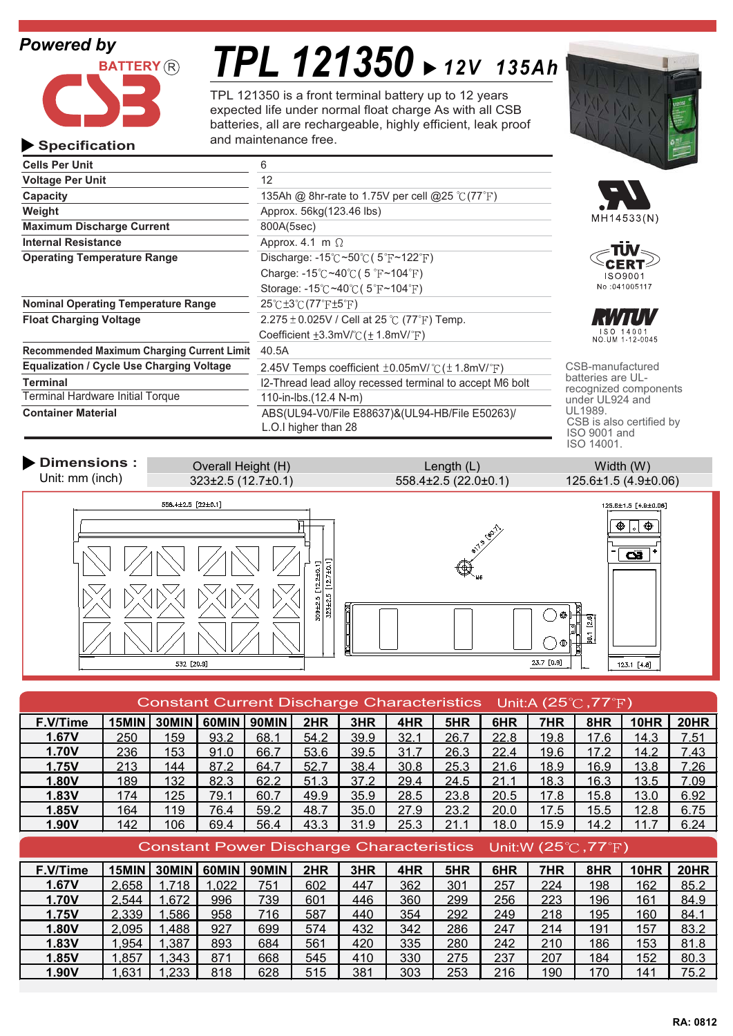# *Powered by*

**Specification**



# *TPL 121350 12V 135Ah*

TPL 121350 is a front terminal battery up to 12 years expected life under normal float charge As with all CSB batteries, all are rechargeable, highly efficient, leak proof and maintenance free.

| <b>Cells Per Unit</b>                             | 6                                                                       |                          |  |
|---------------------------------------------------|-------------------------------------------------------------------------|--------------------------|--|
| <b>Voltage Per Unit</b>                           | 12                                                                      |                          |  |
| Capacity                                          | 135Ah @ 8hr-rate to 1.75V per cell @25 $\degree$ C(77 $\degree$ F)      |                          |  |
| Weight                                            | Approx. 56kg(123.46 lbs)                                                |                          |  |
| <b>Maximum Discharge Current</b>                  | 800A(5sec)                                                              |                          |  |
| <b>Internal Resistance</b>                        | Approx. 4.1 m $\Omega$                                                  |                          |  |
| <b>Operating Temperature Range</b>                | Discharge: $-15^{\circ}$ C ~50 $\circ$ C (5 $\circ$ F ~122 $\circ$ F)   |                          |  |
|                                                   | Charge: -15°C ~40°C (5°F ~104°F)                                        |                          |  |
|                                                   | Storage: $-15^{\circ}$ C ~40 $\circ$ C (5 $\circ$ F ~104 $\circ$ F)     |                          |  |
| <b>Nominal Operating Temperature Range</b>        | $25^{\circ}$ C $\pm 3^{\circ}$ C $(77^{\circ}$ F $\pm 5^{\circ}$ F $)$  |                          |  |
| <b>Float Charging Voltage</b>                     | 2.275 $\pm$ 0.025V / Cell at 25 °C (77°F) Temp.                         |                          |  |
|                                                   | Coefficient $\pm 3.3$ mV/°C ( $\pm$ 1.8mV/°F)                           |                          |  |
| <b>Recommended Maximum Charging Current Limit</b> | 40.5A                                                                   |                          |  |
| <b>Equalization / Cycle Use Charging Voltage</b>  | 2.45V Temps coefficient $\pm$ 0.05mV/°C ( $\pm$ 1.8mV/°F)               | CSE                      |  |
| Terminal                                          | I2-Thread lead alloy recessed terminal to accept M6 bolt                | batt<br>reco             |  |
| Terminal Hardware Initial Torque                  | 110-in-lbs.(12.4 N-m)<br>und                                            |                          |  |
| <b>Container Material</b>                         | ABS(UL94-V0/File E88637)&(UL94-HB/File E50263)/<br>L.O.I higher than 28 | UL1<br><b>CSI</b><br>ISO |  |









B-manufactured eries are ULognized components er UL924 and 989. CSB is also certified by ISO 9001 and ISO 14001.

**Dimensions :**  $\qquad$  Overall Height (H) **Length (L)** Length (L) Width (W) Unit: mm (inch) 323±2.5 (12.7±0.1) 558.4±2.5 (22.0±0.1) 125.6±1.5 (4.9±0.06)  $558.4 \pm 2.5$  [22±0.1]  $125.6 \pm 1.5$  [4.9±0.06]  $\bigoplus$  .  $\bigoplus$  $\mathbf{S}$ 323±2.5 [12.7±0.1]  $[12.2 \pm 0.1]$ 309±2.5 23.7 [0.9] 532 [20.9] 123.1  $[4.8]$ 

| Constant Current Discharge Characteristics Unit:A (25°C,77°F) |              |       |       |              |      |      |      |      |      |      |      |             |             |
|---------------------------------------------------------------|--------------|-------|-------|--------------|------|------|------|------|------|------|------|-------------|-------------|
| F.V/Time                                                      | <b>15MIN</b> | 30MIN | 60MIN | <b>90MIN</b> | 2HR  | 3HR  | 4HR  | 5HR  | 6HR  | 7HR  | 8HR  | <b>10HR</b> | <b>20HR</b> |
| 1.67V                                                         | 250          | 159   | 93.2  | 68.1         | 54.2 | 39.9 | 32.1 | 26.7 | 22.8 | 19.8 | 17.6 | 14.3        | 7.51        |
| <b>1.70V</b>                                                  | 236          | 153   | 91.0  | 66.7         | 53.6 | 39.5 | 31.7 | 26.3 | 22.4 | 19.6 | 17.2 | 14.2        | 7.43        |
| 1.75V                                                         | 213          | 144   | 87.2  | 64.7         | 52.7 | 38.4 | 30.8 | 25.3 | 21.6 | 18.9 | 16.9 | 13.8        | 7.26        |
| <b>1.80V</b>                                                  | 189          | 132   | 82.3  | 62.2         | 51.3 | 37.2 | 29.4 | 24.5 | 21.1 | 18.3 | 16.3 | 13.5        | 7.09        |
| 1.83V                                                         | 174          | 125   | 79.1  | 60.7         | 49.9 | 35.9 | 28.5 | 23.8 | 20.5 | 17.8 | 15.8 | 13.0        | 6.92        |
| 1.85V                                                         | 164          | 119   | 76.4  | 59.2         | 48.7 | 35.0 | 27.9 | 23.2 | 20.0 | 17.5 | 15.5 | 12.8        | 6.75        |
| 1.90V                                                         | 142          | 106   | 69.4  | 56.4         | 43.3 | 31.9 | 25.3 | 21.1 | 18.0 | 15.9 | 14.2 | 11.7        | 6.24        |
| Constant Power Discharge Characteristics Unit:W (25℃,77°F)    |              |       |       |              |      |      |      |      |      |      |      |             |             |
|                                                               |              |       |       |              |      |      |      |      |      |      |      |             |             |
| F.V/Time                                                      | 15MIN        | 30MIN | 60MIN | <b>90MIN</b> | 2HR  | 3HR  | 4HR  | 5HR  | 6HR  | 7HR  | 8HR  | 10HR        | 20HR        |
| 1.67V                                                         | 2,658        | 1.718 | 1,022 | 751          | 602  | 447  | 362  | 301  | 257  | 224  | 198  | 162         | 85.2        |
| 1.70V                                                         | 2.544        | .672  | 996   | 739          | 601  | 446  | 360  | 299  | 256  | 223  | 196  | 161         | 84.9        |
| 1.75V                                                         | 2,339        | .586  | 958   | 716          | 587  | 440  | 354  | 292  | 249  | 218  | 195  | 160         | 84.1        |
| 1.80V                                                         | 2.095        | .488  | 927   | 699          | 574  | 432  | 342  | 286  | 247  | 214  | 191  | 157         | 83.2        |
| 1.83V                                                         | 954.         | 1,387 | 893   | 684          | 561  | 420  | 335  | 280  | 242  | 210  | 186  | 153         | 81.8        |
| 1.85V                                                         | 1.857        | 1,343 | 871   | 668          | 545  | 410  | 330  | 275  | 237  | 207  | 184  | 152         | 80.3        |